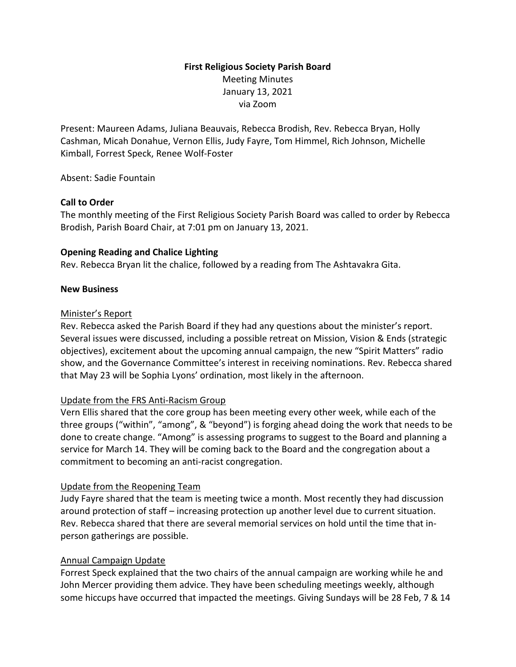# **First Religious Society Parish Board** Meeting Minutes January 13, 2021 via Zoom

Present: Maureen Adams, Juliana Beauvais, Rebecca Brodish, Rev. Rebecca Bryan, Holly Cashman, Micah Donahue, Vernon Ellis, Judy Fayre, Tom Himmel, Rich Johnson, Michelle Kimball, Forrest Speck, Renee Wolf-Foster

Absent: Sadie Fountain

#### **Call to Order**

The monthly meeting of the First Religious Society Parish Board was called to order by Rebecca Brodish, Parish Board Chair, at 7:01 pm on January 13, 2021.

#### **Opening Reading and Chalice Lighting**

Rev. Rebecca Bryan lit the chalice, followed by a reading from The Ashtavakra Gita.

#### **New Business**

#### Minister's Report

Rev. Rebecca asked the Parish Board if they had any questions about the minister's report. Several issues were discussed, including a possible retreat on Mission, Vision & Ends (strategic objectives), excitement about the upcoming annual campaign, the new "Spirit Matters" radio show, and the Governance Committee's interest in receiving nominations. Rev. Rebecca shared that May 23 will be Sophia Lyons' ordination, most likely in the afternoon.

# Update from the FRS Anti-Racism Group

Vern Ellis shared that the core group has been meeting every other week, while each of the three groups ("within", "among", & "beyond") is forging ahead doing the work that needs to be done to create change. "Among" is assessing programs to suggest to the Board and planning a service for March 14. They will be coming back to the Board and the congregation about a commitment to becoming an anti-racist congregation.

# Update from the Reopening Team

Judy Fayre shared that the team is meeting twice a month. Most recently they had discussion around protection of staff – increasing protection up another level due to current situation. Rev. Rebecca shared that there are several memorial services on hold until the time that inperson gatherings are possible.

# Annual Campaign Update

Forrest Speck explained that the two chairs of the annual campaign are working while he and John Mercer providing them advice. They have been scheduling meetings weekly, although some hiccups have occurred that impacted the meetings. Giving Sundays will be 28 Feb, 7 & 14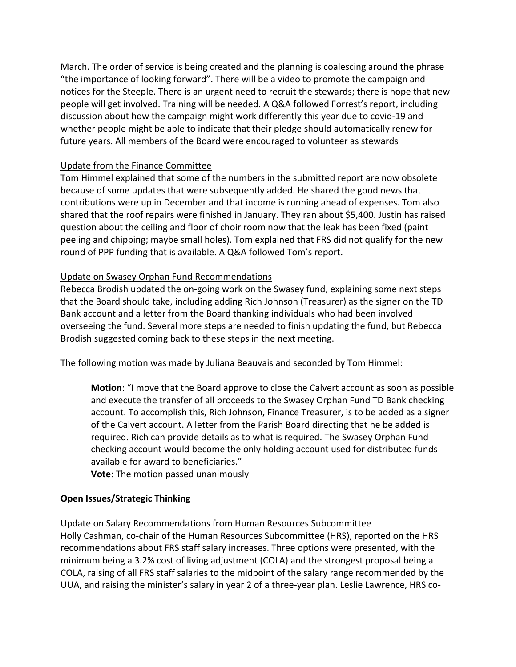March. The order of service is being created and the planning is coalescing around the phrase "the importance of looking forward". There will be a video to promote the campaign and notices for the Steeple. There is an urgent need to recruit the stewards; there is hope that new people will get involved. Training will be needed. A Q&A followed Forrest's report, including discussion about how the campaign might work differently this year due to covid-19 and whether people might be able to indicate that their pledge should automatically renew for future years. All members of the Board were encouraged to volunteer as stewards

# Update from the Finance Committee

Tom Himmel explained that some of the numbers in the submitted report are now obsolete because of some updates that were subsequently added. He shared the good news that contributions were up in December and that income is running ahead of expenses. Tom also shared that the roof repairs were finished in January. They ran about \$5,400. Justin has raised question about the ceiling and floor of choir room now that the leak has been fixed (paint peeling and chipping; maybe small holes). Tom explained that FRS did not qualify for the new round of PPP funding that is available. A Q&A followed Tom's report.

#### Update on Swasey Orphan Fund Recommendations

Rebecca Brodish updated the on-going work on the Swasey fund, explaining some next steps that the Board should take, including adding Rich Johnson (Treasurer) as the signer on the TD Bank account and a letter from the Board thanking individuals who had been involved overseeing the fund. Several more steps are needed to finish updating the fund, but Rebecca Brodish suggested coming back to these steps in the next meeting.

The following motion was made by Juliana Beauvais and seconded by Tom Himmel:

**Motion**: "I move that the Board approve to close the Calvert account as soon as possible and execute the transfer of all proceeds to the Swasey Orphan Fund TD Bank checking account. To accomplish this, Rich Johnson, Finance Treasurer, is to be added as a signer of the Calvert account. A letter from the Parish Board directing that he be added is required. Rich can provide details as to what is required. The Swasey Orphan Fund checking account would become the only holding account used for distributed funds available for award to beneficiaries."

**Vote**: The motion passed unanimously

# **Open Issues/Strategic Thinking**

Update on Salary Recommendations from Human Resources Subcommittee

Holly Cashman, co-chair of the Human Resources Subcommittee (HRS), reported on the HRS recommendations about FRS staff salary increases. Three options were presented, with the minimum being a 3.2% cost of living adjustment (COLA) and the strongest proposal being a COLA, raising of all FRS staff salaries to the midpoint of the salary range recommended by the UUA, and raising the minister's salary in year 2 of a three-year plan. Leslie Lawrence, HRS co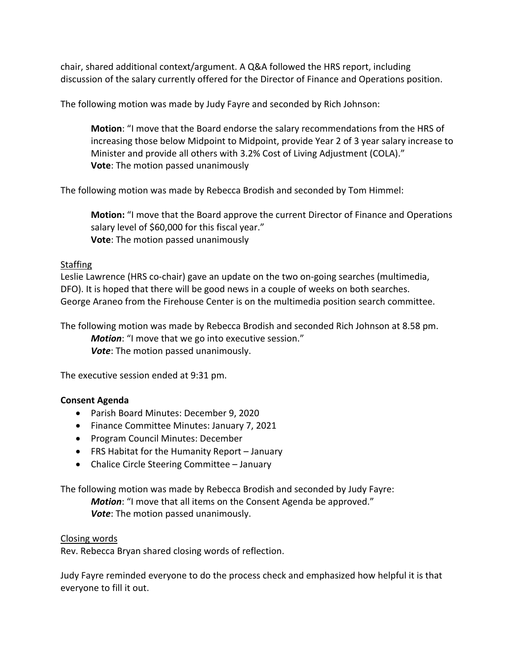chair, shared additional context/argument. A Q&A followed the HRS report, including discussion of the salary currently offered for the Director of Finance and Operations position.

The following motion was made by Judy Fayre and seconded by Rich Johnson:

**Motion**: "I move that the Board endorse the salary recommendations from the HRS of increasing those below Midpoint to Midpoint, provide Year 2 of 3 year salary increase to Minister and provide all others with 3.2% Cost of Living Adjustment (COLA)." **Vote**: The motion passed unanimously

The following motion was made by Rebecca Brodish and seconded by Tom Himmel:

**Motion:** "I move that the Board approve the current Director of Finance and Operations salary level of \$60,000 for this fiscal year." **Vote**: The motion passed unanimously

# Staffing

Leslie Lawrence (HRS co-chair) gave an update on the two on-going searches (multimedia, DFO). It is hoped that there will be good news in a couple of weeks on both searches. George Araneo from the Firehouse Center is on the multimedia position search committee.

The following motion was made by Rebecca Brodish and seconded Rich Johnson at 8.58 pm. *Motion*: "I move that we go into executive session." *Vote*: The motion passed unanimously.

The executive session ended at 9:31 pm.

# **Consent Agenda**

- Parish Board Minutes: December 9, 2020
- Finance Committee Minutes: January 7, 2021
- Program Council Minutes: December
- FRS Habitat for the Humanity Report January
- Chalice Circle Steering Committee January

The following motion was made by Rebecca Brodish and seconded by Judy Fayre:

*Motion*: "I move that all items on the Consent Agenda be approved." *Vote*: The motion passed unanimously.

#### Closing words

Rev. Rebecca Bryan shared closing words of reflection.

Judy Fayre reminded everyone to do the process check and emphasized how helpful it is that everyone to fill it out.